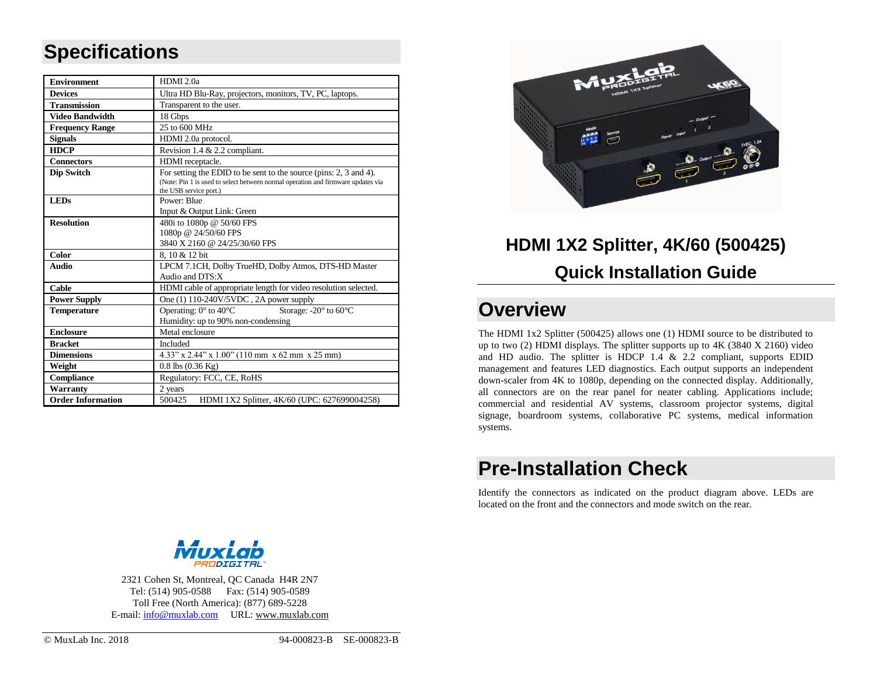# **Specifications**

| <b>Environment</b>       | HDMI <sub>2.0a</sub>                                                                                       |  |  |
|--------------------------|------------------------------------------------------------------------------------------------------------|--|--|
| <b>Devices</b>           | Ultra HD Blu-Ray, projectors, monitors, TV, PC, laptops.                                                   |  |  |
| <b>Transmission</b>      | Transparent to the user.                                                                                   |  |  |
| <b>Video Bandwidth</b>   | 18 Gbps                                                                                                    |  |  |
| <b>Frequency Range</b>   | 25 to 600 MHz                                                                                              |  |  |
| <b>Signals</b>           | HDMI 2.0a protocol.                                                                                        |  |  |
| <b>HDCP</b>              | Revision 1.4 & 2.2 compliant.                                                                              |  |  |
| <b>Connectors</b>        | HDMI receptacle.                                                                                           |  |  |
| <b>Dip Switch</b>        | For setting the EDID to be sent to the source (pins: 2, 3 and 4).                                          |  |  |
|                          | (Note: Pin 1 is used to select between normal operation and firmware updates via<br>the USB service port.) |  |  |
| <b>LEDs</b>              | Power: Blue                                                                                                |  |  |
|                          | Input & Output Link: Green                                                                                 |  |  |
| <b>Resolution</b>        | 480i to 1080p @ 50/60 FPS                                                                                  |  |  |
|                          | 1080p @ 24/50/60 FPS                                                                                       |  |  |
|                          | 3840 X 2160 @ 24/25/30/60 FPS                                                                              |  |  |
| <b>Color</b>             | 8.10 & 12 bit                                                                                              |  |  |
| Audio                    | LPCM 7.1CH, Dolby TrueHD, Dolby Atmos, DTS-HD Master                                                       |  |  |
|                          | Audio and DTS:X                                                                                            |  |  |
| Cable                    | HDMI cable of appropriate length for video resolution selected.                                            |  |  |
| <b>Power Supply</b>      | One (1) 110-240V/5VDC, 2A power supply                                                                     |  |  |
| <b>Temperature</b>       | Operating: $0^{\circ}$ to $40^{\circ}$ C<br>Storage: -20° to 60°C                                          |  |  |
|                          | Humidity: up to 90% non-condensing                                                                         |  |  |
| <b>Enclosure</b>         | Metal enclosure                                                                                            |  |  |
| <b>Bracket</b>           | <b>Included</b>                                                                                            |  |  |
| <b>Dimensions</b>        | 4.33" x 2.44" x 1.00" (110 mm x 62 mm x 25 mm)                                                             |  |  |
| Weight                   | $0.8$ lbs $(0.36$ Kg)                                                                                      |  |  |
| Compliance               | Regulatory: FCC, CE, RoHS                                                                                  |  |  |
| Warranty                 | 2 years                                                                                                    |  |  |
| <b>Order Information</b> | 500425<br>HDMI 1X2 Splitter, 4K/60 (UPC: 627699004258)                                                     |  |  |



# **HDMI 1X2 Splitter, 4K/60 (500425) Quick Installation Guide**

# **Overview**

The HDMI 1x2 Splitter (500425) allows one (1) HDMI source to be distributed to up to two (2) HDMI displays. The splitter supports up to 4K (3840 X 2160) video and HD audio. The splitter is HDCP 1.4 & 2.2 compliant, supports EDID management and features LED diagnostics. Each output supports an independent down-scaler from 4K to 1080p, depending on the connected display. Additionally, all connectors are on the rear panel for neater cabling. Applications include; commercial and residential AV systems, classroom projector systems, digital signage, boardroom systems, collaborative PC systems, medical information systems.

# **Pre-Installation Check**

Identify the connectors as indicated on the product diagram above. LEDs are located on the front and the connectors and mode switch on the rear.



2321 Cohen St, Montreal, QC Canada H4R 2N7 Tel: (514) 905-0588 Fax: (514) 905-0589 Toll Free (North America): (877) 689-5228 E-mail[: info@muxlab.com](mailto:info@muxlab.com) URL: [www.muxlab.com](../../R&D/PROJECT/ODM/GoMax/Muxlab%20Product/M500425%20-%20HDMI%201X2%20Splitter%204K-60/Documentation/Original%20Documents/www.muxlab.com)

© MuxLab Inc. 2018 94-000823-B SE-000823-B